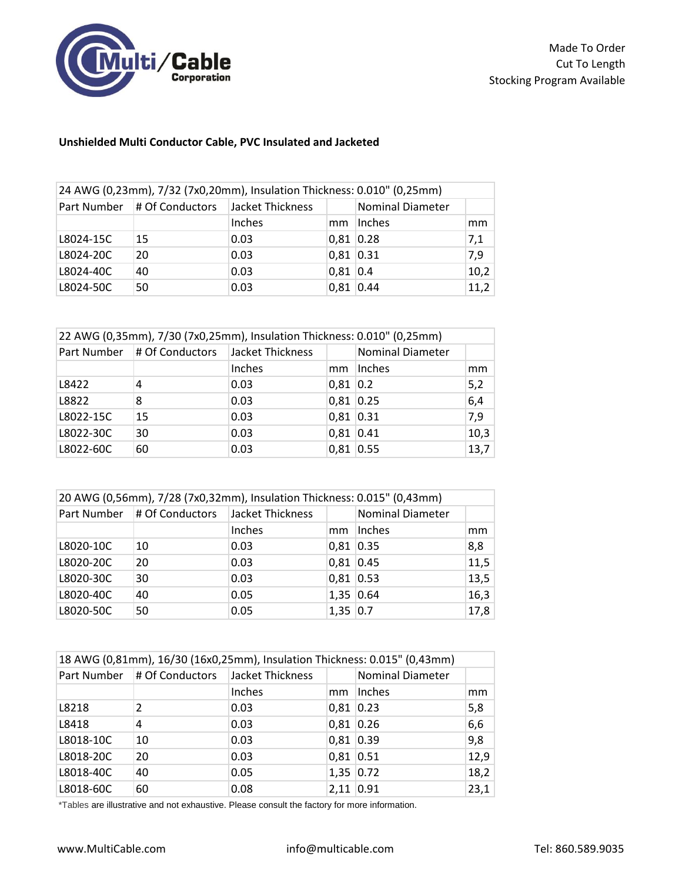

## **Unshielded Multi Conductor Cable, PVC Insulated and Jacketed**

| 24 AWG (0,23mm), 7/32 (7x0,20mm), Insulation Thickness: 0.010" (0,25mm) |                             |                  |             |                         |      |
|-------------------------------------------------------------------------|-----------------------------|------------------|-------------|-------------------------|------|
|                                                                         | Part Number # Of Conductors | Jacket Thickness |             | <b>Nominal Diameter</b> |      |
|                                                                         |                             | Inches           | mm          | Inches                  | mm   |
| L8024-15C                                                               | <b>15</b>                   | 0.03             |             | $0,81$ 0.28             | 7,1  |
| L8024-20C                                                               | 20                          | 0.03             | $0,81$ 0.31 |                         | 7,9  |
| L8024-40C                                                               | 40                          | 0.03             | $0,81$ 0.4  |                         | 10,2 |
| L8024-50C                                                               | 50                          | 0.03             |             | $0,81$ 0.44             | 11,2 |

| 22 AWG (0,35mm), 7/30 (7x0,25mm), Insulation Thickness: 0.010" (0,25mm) |                             |                  |             |                         |      |
|-------------------------------------------------------------------------|-----------------------------|------------------|-------------|-------------------------|------|
|                                                                         | Part Number # Of Conductors | Jacket Thickness |             | <b>Nominal Diameter</b> |      |
|                                                                         |                             | Inches           | mm          | Inches                  | mm   |
| L8422                                                                   | 4                           | 0.03             | $0,81$ 0.2  |                         | 5,2  |
| L8822                                                                   | 8                           | 0.03             | $0,81$ 0.25 |                         | 6,4  |
| L8022-15C                                                               | 15                          | 0.03             | $0,81$ 0.31 |                         | 7,9  |
| L8022-30C                                                               | 30                          | 0.03             | $0,81$ 0.41 |                         | 10,3 |
| L8022-60C                                                               | 60                          | 0.03             | $0,81$ 0.55 |                         | 13,7 |

| 20 AWG (0,56mm), 7/28 (7x0,32mm), Insulation Thickness: 0.015" (0,43mm) |                             |                  |             |                         |      |  |
|-------------------------------------------------------------------------|-----------------------------|------------------|-------------|-------------------------|------|--|
|                                                                         | Part Number # Of Conductors | Jacket Thickness |             | <b>Nominal Diameter</b> |      |  |
|                                                                         |                             | Inches           | mm          | Inches                  | mm   |  |
| L8020-10C                                                               | 10                          | 0.03             | $0,81$ 0.35 |                         | 8,8  |  |
| L8020-20C                                                               | 20                          | 0.03             | $0,81$ 0.45 |                         | 11,5 |  |
| L8020-30C                                                               | 30                          | 0.03             | $0,81$ 0.53 |                         | 13,5 |  |
| L8020-40C                                                               | 40                          | 0.05             | $1,35$ 0.64 |                         | 16,3 |  |
| L8020-50C                                                               | 50                          | 0.05             | $1,35$ 0.7  |                         | 17,8 |  |

| 18 AWG (0,81mm), 16/30 (16x0,25mm), Insulation Thickness: 0.015" (0,43mm) |                 |                  |             |                         |      |  |
|---------------------------------------------------------------------------|-----------------|------------------|-------------|-------------------------|------|--|
| Part Number                                                               | # Of Conductors | Jacket Thickness |             | <b>Nominal Diameter</b> |      |  |
|                                                                           |                 | Inches           | mm          | Inches                  | mm   |  |
| L8218                                                                     | 2               | 0.03             | $0,81$ 0.23 |                         | 5,8  |  |
| L8418                                                                     | 4               | 0.03             | 0,81 0.26   |                         | 6,6  |  |
| L8018-10C                                                                 | 10              | 0.03             | 0,81 0.39   |                         | 9,8  |  |
| L8018-20C                                                                 | 20              | 0.03             | $0,81$ 0.51 |                         | 12,9 |  |
| L8018-40C                                                                 | 40              | 0.05             | $1,35$ 0.72 |                         | 18,2 |  |
| L8018-60C                                                                 | 60              | 0.08             | $2,11$ 0.91 |                         | 23,1 |  |

\*Tables are illustrative and not exhaustive. Please consult the factory for more information.